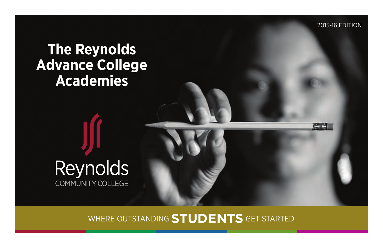2015-16 Edition

**CHARLES** 

# **The Reynolds Advance College Academies**



WHERE OUTSTANDING **STUDENTS** GET STARTED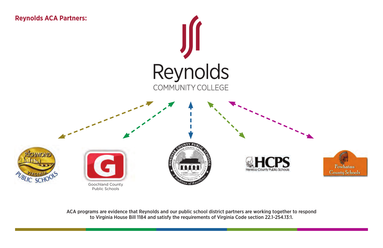

ACA programs are evidence that Reynolds and our public school district partners are working together to respond to Virginia House Bill 1184 and satisfy the requirements of Virginia Code section 22.1-254.13:1.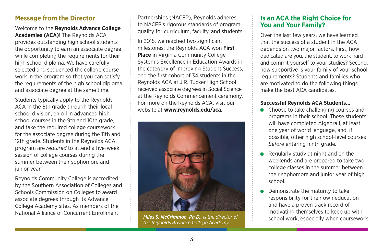# **Message from the Director**

Welcome to the **Reynolds Advance College Academies (ACA)**! The Reynolds ACA provides outstanding high school students the opportunity to earn an associate degree while completing the requirements for their high school diploma. We have carefully selected and sequenced the college course work in the program so that you can satisfy the requirements of the high school diploma and associate degree at the same time.

Students typically apply to the Reynolds ACA in the 8th grade through their local school division, enroll in advanced high school courses in the 9th and 10th grade, and take the required college coursework for the associate degree during the 11th and 12th grade. Students in the Reynolds ACA program are *required* to attend a five-week session of college courses during the summer between their sophomore and junior year.

Reynolds Community College is accredited by the Southern Association of Colleges and Schools Commission on Colleges to award associate degrees through its Advance College Academy sites. As members of the National Alliance of Concurrent Enrollment

Partnerships (NACEP), Reynolds adheres to NACEP's rigorous standards of program quality for curriculum, faculty, and students.

In 2015, we reached two significant milestones: the Reynolds ACA won **First Place** in Virginia Community College System's Excellence in Education Awards in the category of Improving Student Success, and the first cohort of 34 students in the Reynolds ACA at J.R. Tucker High School received associate degrees in Social Science at the Reynolds Commencement ceremony. For more on the Reynolds ACA, visit our website at **www.reynolds.edu/aca**.



*the Reynolds Advance College Academy.* 

# **Is an ACA the Right Choice for You and Your Family?**

Over the last few years, we have learned that the success of a student in the ACA depends on two major factors. First, how dedicated are you, the student, to work hard and commit yourself to your studies? Second, how supportive is your family of your school requirements? Students and families who are motivated to do the following things make the best ACA candidates.

#### **Successful Reynolds ACA Students...**

- Choose to take challenging courses and programs in their school. These students will have completed Algebra I, at least one year of world language, and, if possible, other high school-level courses *before* entering ninth grade.
- Regularly study at night and on the weekends and are prepared to take two college classes in the summer between their sophomore and junior year of high school.
- Demonstrate the maturity to take responsibility for their own education and have a proven track record of motivating themselves to keep up with school work, especially when coursework *Miles S. McCrimmon, Ph.D., is the director of*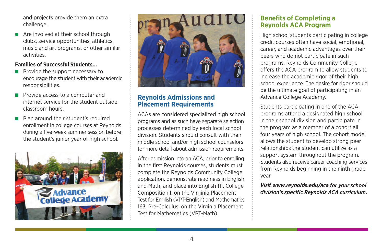and projects provide them an extra challenge.

 Are involved at their school through clubs, service opportunities, athletics, music and art programs, or other similar activities.

## **Families of Successful Students…**

- $\blacksquare$  Provide the support necessary to encourage the student with their academic responsibilities.
- **Provide access to a computer and** internet service for the student outside classroom hours.
- **Plan around their student's required** enrollment in college courses at Reynolds during a five-week summer session before the student's junior year of high school.





# **Reynolds Admissions and Placement Requirements**

ACAs are considered specialized high school programs and as such have separate selection processes determined by each local school division. Students should consult with their middle school and/or high school counselors for more detail about admission requirements.

After admission into an ACA, prior to enrolling in the first Reynolds courses, students must complete the Reynolds Community College application, demonstrate readiness in English and Math, and place into English 111, College Composition I, on the Virginia Placement Test for English (VPT-English) and Mathematics 163, Pre-Calculus, on the Virginia Placement Test for Mathematics (VPT-Math).

# **Benefits of Completing a Reynolds ACA Program**

High school students participating in college credit courses often have social, emotional, career, and academic advantages over their peers who do not participate in such programs. Reynolds Community College offers the ACA program to allow students to increase the academic rigor of their high school experience. The desire for rigor should be the ultimate goal of participating in an Advance College Academy.

Students participating in one of the ACA programs attend a designated high school in their school division and participate in the program as a member of a cohort all four years of high school. The cohort model allows the student to develop strong peer relationships the student can utilize as a support system throughout the program. Students also receive career coaching services from Reynolds beginning in the ninth grade year.

*Visit www.reynolds.edu/aca for your school division's specific Reynolds ACA curriculum.*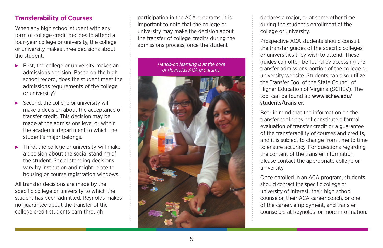# **Transferability of Courses**

When any high school student with any form of college credit decides to attend a four-year college or university, the college or university makes three decisions about the student.

- $\blacktriangleright$  First, the college or university makes an admissions decision. Based on the high school record, does the student meet the admissions requirements of the college or university?
- $\triangleright$  Second, the college or university will make a decision about the acceptance of transfer credit. This decision may be made at the admissions level or within the academic department to which the student's major belongs.
- $\blacktriangleright$  Third, the college or university will make a decision about the social standing of the student. Social standing decisions vary by institution and might relate to housing or course registration windows.

All transfer decisions are made by the specific college or university to which the student has been admitted. Reynolds makes no guarantee about the transfer of the college credit students earn through

participation in the ACA programs. It is important to note that the college or university may make the decision about the transfer of college credits during the admissions process, once the student

> *Hands-on learning is at the core of Reynolds ACA programs.*



declares a major, or at some other time during the student's enrollment at the college or university.

Prospective ACA students should consult the transfer guides of the specific colleges or universities they wish to attend. These guides can often be found by accessing the transfer admissions portion of the college or university website. Students can also utilize the Transfer Tool of the State Council of Higher Education of Virginia (SCHEV). The tool can be found at: www.schev.edu/ students/transfer.

Bear in mind that the information on the transfer tool does not constitute a formal evaluation of transfer credit or a guarantee of the transferability of courses and credits, and it is subject to change from time to time to ensure accuracy. For questions regarding the content of the transfer information, please contact the appropriate college or university.

Once enrolled in an ACA program, students should contact the specific college or university of interest, their high school counselor, their ACA career coach, or one of the career, employment, and transfer counselors at Reynolds for more information.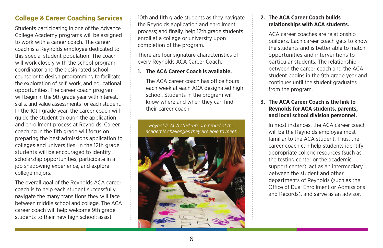# **College & Career Coaching Services**

Students participating in one of the Advance College Academy programs will be assigned to work with a career coach. The career coach is a Reynolds employee dedicated to this special student population. The coach will work closely with the school program coordinator and the designated school counselor to design programming to facilitate the exploration of self, work, and educational opportunities. The career coach program will begin in the 9th grade year with interest, skills, and value assessments for each student. In the 10th grade year, the career coach will guide the student through the application and enrollment process at Reynolds. Career coaching in the 11th grade will focus on preparing the best admissions application to colleges and universities. In the 12th grade, students will be encouraged to identify scholarship opportunities, participate in a job shadowing experience, and explore college majors.

The overall goal of the Reynolds ACA career coach is to help each student successfully navigate the many transitions they will face between middle school and college. The ACA career coach will help welcome 9th grade students to their new high school; assist

10th and 11th grade students as they navigate the Reynolds application and enrollment process; and finally, help 12th grade students enroll at a college or university upon completion of the program.

There are four signature characteristics of every Reynolds ACA Career Coach.

#### **1. The ACA Career Coach is available.**

 The ACA career coach has office hours each week at each ACA designated high school. Students in the program will know where and when they can find their career coach.

*Reynolds ACA students are proud of the academic challenges they are able to meet.*



#### **2. The ACA Career Coach builds relationships with ACA students.**

ACA career coaches are relationship builders. Each career coach gets to know the students and is better able to match opportunities and interventions to particular students. The relationship between the career coach and the ACA student begins in the 9th grade year and continues until the student graduates from the program.

#### **3. The ACA Career Coach is the link to Reynolds for ACA students, parents, and local school division personnel.**

 In most instances, the ACA career coach will be the Reynolds employee most familiar to the ACA student. Thus, the career coach can help students identify appropriate college resources (such as the testing center or the academic support center), act as an intermediary between the student and other departments of Reynolds (such as the Office of Dual Enrollment or Admissions and Records), and serve as an advisor.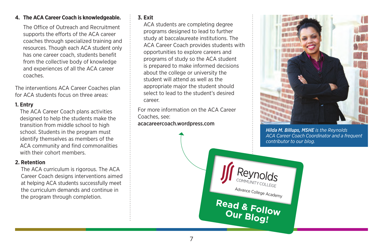#### **4. The ACA Career Coach is knowledgeable.**

 The Office of Outreach and Recruitment supports the efforts of the ACA career coaches through specialized training and resources. Though each ACA student only has one career coach, students benefit from the collective body of knowledge and experiences of all the ACA career coaches.

The interventions ACA Career Coaches plan for ACA students focus on three areas:

#### **1. Entry**

The ACA Career Coach plans activities designed to help the students make the transition from middle school to high school. Students in the program must identify themselves as members of the ACA community and find commonalities with their cohort members.

#### **2. Retention**

The ACA curriculum is rigorous. The ACA Career Coach designs interventions aimed at helping ACA students successfully meet the curriculum demands and continue in the program through completion.

#### **3. Exit**

ACA students are completing degree programs designed to lead to further study at baccalaureate institutions. The ACA Career Coach provides students with opportunities to explore careers and programs of study so the ACA student is prepared to make informed decisions about the college or university the student will attend as well as the appropriate major the student should select to lead to the student's desired career.

For more information on the ACA Career Coaches, see: acacareercoach.wordpress.com



*Hilda M. Billups, MSHE is the Reynolds ACA Career Coach Coordinator and a frequent contributor to our blog.* 

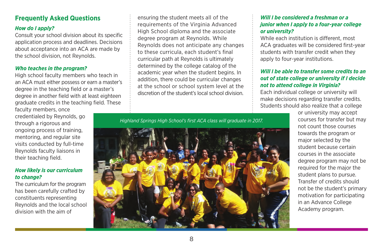# **Frequently Asked Questions**

#### *How do I apply?*

Consult your school division about its specific application process and deadlines. Decisions about acceptance into an ACA are made by the school division, not Reynolds.

#### *Who teaches in the program?*

High school faculty members who teach in an ACA must either possess or earn a master's degree in the teaching field or a master's degree in another field with at least eighteen graduate credits in the teaching field. These

faculty members, once credentialed by Reynolds, go through a rigorous and ongoing process of training, mentoring, and regular site visits conducted by full-time Reynolds faculty liaisons in their teaching field.

#### *How likely is our curriculum to change?*

The curriculum for the program has been carefully crafted by constituents representing Reynolds and the local school division with the aim of

ensuring the student meets all of the requirements of the Virginia Advanced High School diploma and the associate degree program at Reynolds. While Reynolds does not anticipate any changes to these curricula, each student's final curricular path at Reynolds is ultimately determined by the college catalog of the academic year when the student begins. In addition, there could be curricular changes at the school or school system level at the discretion of the student's local school division.

*Highland Springs High School's first ACA class will graduate in 2017.*



#### *Will I be considered a freshman or a junior when I apply to a four-year college or university?*

While each institution is different, most ACA graduates will be considered first-year students with transfer credit when they apply to four-year institutions.

#### *Will I be able to transfer some credits to an out of state college or university if I decide not to attend college in Virginia?*

Each individual college or university will make decisions regarding transfer credits. Students should also realize that a college

> or university may accept courses for transfer but may not count those courses towards the program or major selected by the student because certain courses in the associate degree program may not be required for the major the student plans to pursue. Transfer of credits should not be the student's primary motivation for participating in an Advance College Academy program.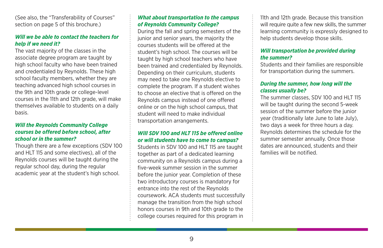(See also, the "Transferability of Courses" section on page 5 of this brochure.)

#### *Will we be able to contact the teachers for help if we need it?*

The vast majority of the classes in the associate degree program are taught by high school faculty who have been trained and credentialed by Reynolds. These high school faculty members, whether they are teaching advanced high school courses in the 9th and 10th grade or college-level courses in the 11th and 12th grade, will make themselves available to students on a daily basis.

#### *Will the Reynolds Community College courses be offered before school, after school or in the summer?*

Though there are a few exceptions (SDV 100 and HLT 115 and some electives), all of the Reynolds courses will be taught during the regular school day, during the regular academic year at the student's high school.

#### *What about transportation to the campus of Reynolds Community College?*

During the fall and spring semesters of the junior and senior years, the majority the courses students will be offered at the student's high school. The courses will be taught by high school teachers who have been trained and credentialed by Reynolds. Depending on their curriculum, students may need to take one Reynolds elective to complete the program. If a student wishes to choose an elective that is offered on the Reynolds campus instead of one offered online or on the high school campus, that student will need to make individual transportation arrangements.

#### *Will SDV 100 and HLT 115 be offered online or will students have to come to campus?*

Students in SDV 100 and HLT 115 are taught together as part of a dedicated learning community on a Reynolds campus during a five-week summer session in the summer before the junior year. Completion of these two introductory courses is mandatory for entrance into the rest of the Reynolds coursework. ACA students must successfully manage the transition from the high school honors courses in 9th and 10th grade to the college courses required for this program in

11th and 12th grade. Because this transition will require quite a few new skills, the summer learning community is expressly designed to help students develop those skills.

#### *Will transportation be provided during the summer?*

Students and their families are responsible for transportation during the summers.

#### *During the summer, how long will the classes usually be?*

The summer classes, SDV 100 and HLT 115 will be taught during the second 5-week session of the summer before the junior year (traditionally late June to late July), two days a week for three hours a day. Reynolds determines the schedule for the summer semester annually. Once those dates are announced, students and their families will be notified.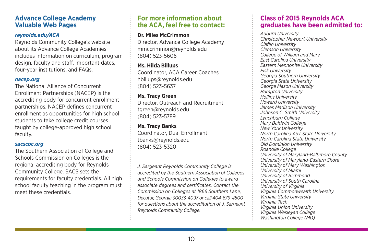## **Advance College Academy Valuable Web Pages**

#### *reynolds.edu/ACA*

Reynolds Community College's website about its Advance College Academies includes information on curriculum, program design, faculty and staff, important dates, four-year institutions, and FAQs.

#### *nacep.org*

The National Alliance of Concurrent Enrollment Partnerships (NACEP) is the accrediting body for concurrent enrollment partnerships. NACEP defines concurrent enrollment as opportunities for high school students to take college credit courses taught by college-approved high school faculty.

#### *sacscoc.org*

The Southern Association of College and Schools Commission on Colleges is the regional accrediting body for Reynolds Community College. SACS sets the requirements for faculty credentials. All high school faculty teaching in the program must meet these credentials.

# **For more information about the ACA, feel free to contact:**

#### **Dr. Miles McCrimmon**

Director, Advance College Academy mmccrimmon@reynolds.edu (804) 523-5606

**Ms. Hilda Billups** Coordinator, ACA Career Coaches hbillups@reynolds.edu (804) 523-5637

#### **Ms. Tracy Green** Director, Outreach and Recruitment tgreen@reynolds.edu (804) 523-5789

**Ms. Tracy Banks** Coordinator, Dual Enrollment tbanks@reynolds.edu (804) 523-5320

*J. Sargeant Reynolds Community College is accredited by the Southern Association of Colleges and Schools Commission on Colleges to award associate degrees and certificates. Contact the Commission on Colleges at 1866 Southern Lane, Decatur, Georgia 30033-4097 or call 404-679-4500 for questions about the accreditation of J. Sargeant Reynolds Community College.* 

# **Class of 2015 Reynolds ACA graduates have been admitted to:**

*Auburn University Christopher Newport University Claflin University Clemson University College of William and Mary East Carolina University Eastern Mennonite University Fisk University Georgia Southern University Georgia State University George Mason University Hampton University Hollins University Howard University James Madison University Johnson C. Smith University Lynchburg College Mary Baldwin College New York University North Carolina A&T State University North Carolina State University Old Dominion University Roanoke College University of Maryland-Baltimore County University of Maryland-Eastern Shore University of Mary Washington University of Miami University of Richmond University of South Carolina University of Virginia Virginia Commonwealth University Virginia State University Virginia Tech Virginia Union University Virginia Wesleyan College Washington College (MD)*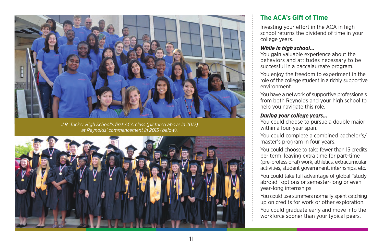

*J.R. Tucker High School's first ACA class (pictured above in 2012) at Reynolds' commencement in 2015 (below).*



# **The ACA's Gift of Time**

Investing your effort in the ACA in high school returns the dividend of time in your college years.

#### *While in high school…*

You gain valuable experience about the behaviors and attitudes necessary to be successful in a baccalaureate program.

You enjoy the freedom to experiment in the role of the college student in a richly supportive environment.

You have a network of supportive professionals from both Reynolds and your high school to help you navigate this role.

#### *During your college years…*

You could choose to pursue a double major within a four-year span.

You could complete a combined bachelor's/ master's program in four years.

You could choose to take fewer than 15 credits per term, leaving extra time for part-time (pre-professional) work, athletics, extracurricular activities, student government, internships, etc.

You could take full advantage of global "study" abroad" options or semester-long or even year-long internships.

You could use summers normally spent catching up on credits for work or other exploration.

You could graduate early and move into the workforce sooner than your typical peers.